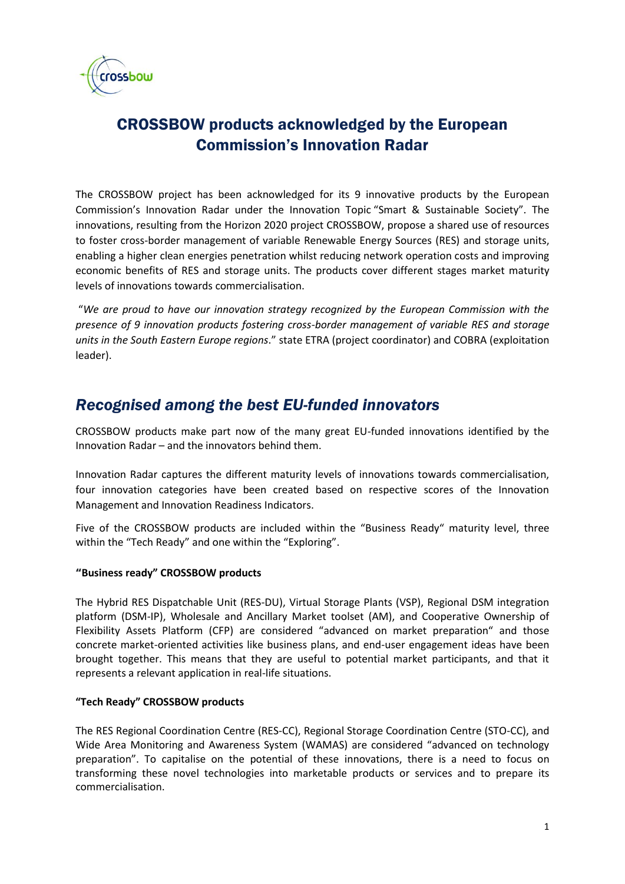

# CROSSBOW products acknowledged by the European Commission's Innovation Radar

The CROSSBOW project has been acknowledged for its 9 innovative products by the European Commission's Innovation Radar under the Innovation Topic "Smart & Sustainable Society". The innovations, resulting from the Horizon 2020 project CROSSBOW, propose a shared use of resources to foster cross-border management of variable Renewable Energy Sources (RES) and storage units, enabling a higher clean energies penetration whilst reducing network operation costs and improving economic benefits of RES and storage units. The products cover different stages market maturity levels of innovations towards commercialisation.

"*We are proud to have our innovation strategy recognized by the European Commission with the presence of 9 innovation products fostering cross-border management of variable RES and storage units in the South Eastern Europe regions*." state ETRA (project coordinator) and COBRA (exploitation leader).

### *Recognised among the best EU-funded innovators*

CROSSBOW products make part now of the many great EU-funded innovations identified by the Innovation Radar – and the innovators behind them.

Innovation Radar captures the different maturity levels of innovations towards commercialisation, four innovation categories have been created based on respective scores of the Innovation Management and Innovation Readiness Indicators.

Five of the CROSSBOW products are included within the "Business Ready" maturity level, three within the "Tech Ready" and one within the "Exploring".

#### **"Business ready" CROSSBOW products**

The Hybrid RES Dispatchable Unit (RES-DU), Virtual Storage Plants (VSP), Regional DSM integration platform (DSM-IP), Wholesale and Ancillary Market toolset (AM), and Cooperative Ownership of Flexibility Assets Platform (CFP) are considered "advanced on market preparation" and those concrete market-oriented activities like business plans, and end-user engagement ideas have been brought together. This means that they are useful to potential market participants, and that it represents a relevant application in real-life situations.

#### **"Tech Ready" CROSSBOW products**

The RES Regional Coordination Centre (RES-CC), Regional Storage Coordination Centre (STO-CC), and Wide Area Monitoring and Awareness System (WAMAS) are considered "advanced on technology preparation". To capitalise on the potential of these innovations, there is a need to focus on transforming these novel technologies into marketable products or services and to prepare its commercialisation.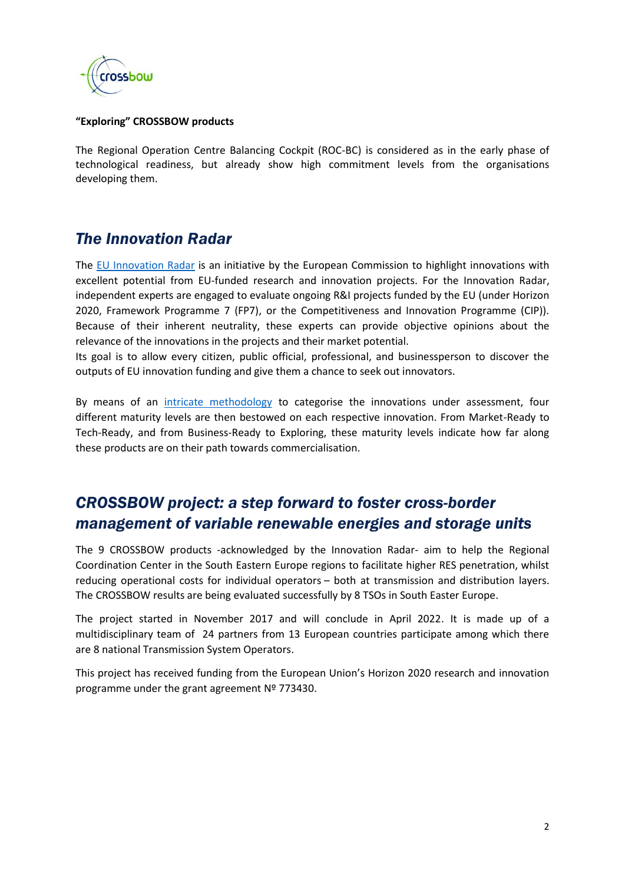

#### **"Exploring" CROSSBOW products**

The Regional Operation Centre Balancing Cockpit (ROC-BC) is considered as in the early phase of technological readiness, but already show high commitment levels from the organisations developing them.

### *The Innovation Radar*

The [EU Innovation Radar](https://www.innoradar.eu/) is an initiative by the European Commission to highlight innovations with excellent potential from EU-funded research and innovation projects. For the Innovation Radar, independent experts are engaged to evaluate ongoing R&I projects funded by the EU (under Horizon 2020, Framework Programme 7 (FP7), or the Competitiveness and Innovation Programme (CIP)). Because of their inherent neutrality, these experts can provide objective opinions about the relevance of the innovations in the projects and their market potential.

Its goal is to allow every citizen, public official, professional, and businessperson to discover the outputs of EU innovation funding and give them a chance to seek out innovators.

By means of an [intricate methodology](https://www.innoradar.eu/methodology) to categorise the innovations under assessment, four different maturity levels are then bestowed on each respective innovation. From Market-Ready to Tech-Ready, and from Business-Ready to Exploring, these maturity levels indicate how far along these products are on their path towards commercialisation.

## *CROSSBOW project: a step forward to foster cross-border management of variable renewable energies and storage units*

The 9 CROSSBOW products -acknowledged by the Innovation Radar- aim to help the Regional Coordination Center in the South Eastern Europe regions to facilitate higher RES penetration, whilst reducing operational costs for individual operators – both at transmission and distribution layers. The CROSSBOW results are being evaluated successfully by 8 TSOs in South Easter Europe.

The project started in November 2017 and will conclude in April 2022. It is made up of a multidisciplinary team of 24 partners from 13 European countries participate among which there are 8 national Transmission System Operators.

This project has received funding from the European Union's Horizon 2020 research and innovation programme under the grant agreement Nº 773430.